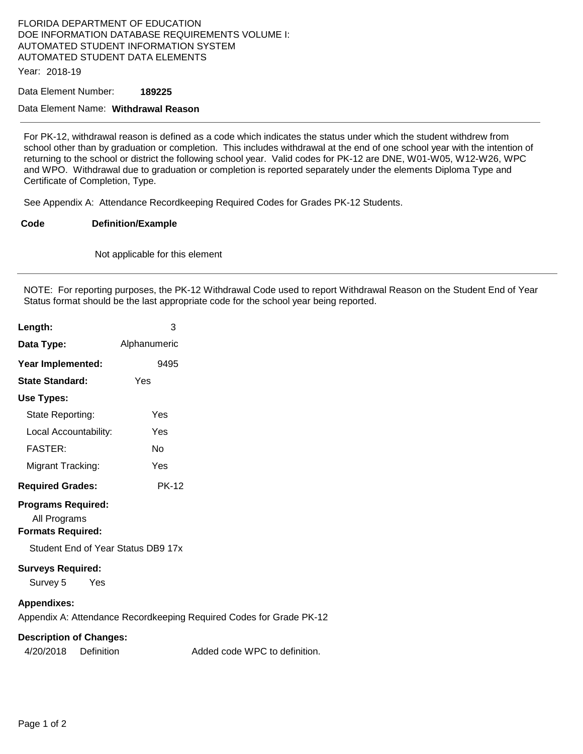## FLORIDA DEPARTMENT OF EDUCATION DOE INFORMATION DATABASE REQUIREMENTS VOLUME I: AUTOMATED STUDENT INFORMATION SYSTEM AUTOMATED STUDENT DATA ELEMENTS

Year: 2018-19

Data Element Number: **189225** 

## Data Element Name: **Withdrawal Reason**

For PK-12, withdrawal reason is defined as a code which indicates the status under which the student withdrew from school other than by graduation or completion. This includes withdrawal at the end of one school year with the intention of returning to the school or district the following school year. Valid codes for PK-12 are DNE, W01-W05, W12-W26, WPC and WPO. Withdrawal due to graduation or completion is reported separately under the elements Diploma Type and Certificate of Completion, Type.

See Appendix A: Attendance Recordkeeping Required Codes for Grades PK-12 Students.

## **Code Definition/Example**

Not applicable for this element

NOTE: For reporting purposes, the PK-12 Withdrawal Code used to report Withdrawal Reason on the Student End of Year Status format should be the last appropriate code for the school year being reported.

| Length:                                                               | 3                                                                   |  |
|-----------------------------------------------------------------------|---------------------------------------------------------------------|--|
| Data Type:                                                            | Alphanumeric                                                        |  |
| Year Implemented:                                                     | 9495                                                                |  |
| <b>State Standard:</b>                                                | Yes                                                                 |  |
| Use Types:                                                            |                                                                     |  |
| State Reporting:                                                      | Yes                                                                 |  |
| Local Accountability:                                                 | Yes                                                                 |  |
| <b>FASTER:</b>                                                        | No                                                                  |  |
| Migrant Tracking:                                                     | Yes                                                                 |  |
| <b>Required Grades:</b>                                               | <b>PK-12</b>                                                        |  |
| <b>Programs Required:</b><br>All Programs<br><b>Formats Required:</b> |                                                                     |  |
| Student End of Year Status DB9 17x                                    |                                                                     |  |
| <b>Surveys Required:</b><br>Survey 5<br>Yes                           |                                                                     |  |
| <b>Appendixes:</b>                                                    | Appendix A: Attendance Recordkeeping Required Codes for Grade PK-12 |  |
| <b>Description of Changes:</b>                                        |                                                                     |  |

| 4/20/2018 | Definition | Added code WPC to definition. |
|-----------|------------|-------------------------------|
|           |            |                               |